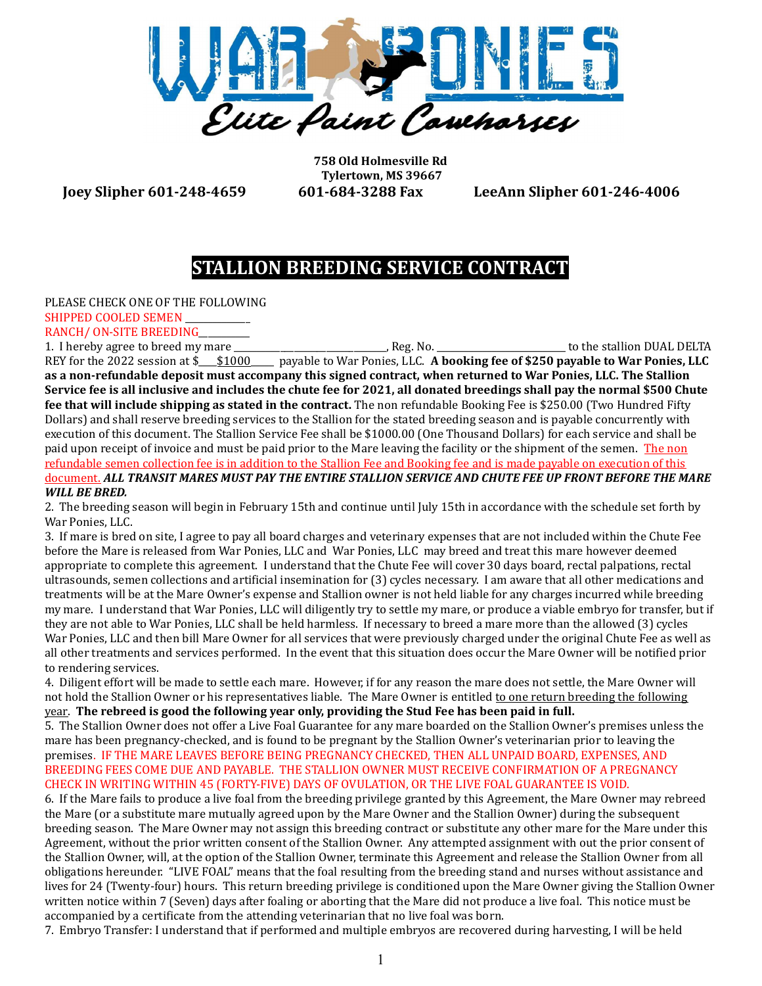

758 Old Holmesville Rd Tylertown, MS 39667

Joey Slipher 601-248-4659 601-684-3288 Fax LeeAnn Slipher 601-246-4006

## STALLION BREEDING SERVICE CONTRACT

PLEASE CHECK ONE OF THE FOLLOWING SHIPPED COOLED SEMEN

RANCH/ ON-SITE BREEDING

1. I hereby agree to breed my mare \_\_\_\_\_\_\_\_\_\_\_\_\_\_\_\_\_\_\_\_\_\_\_\_\_\_\_\_\_\_\_\_\_, Reg. No. \_\_\_\_\_\_\_\_\_\_\_\_\_\_\_\_\_\_\_\_\_\_\_\_\_\_\_\_ to the stallion DUAL DELTA REY for the 2022 session at \$\_\_\_\$1000 \_\_\_\_\_ payable to War Ponies, LLC. A booking fee of \$250 payable to War Ponies, LLC as a non-refundable deposit must accompany this signed contract, when returned to War Ponies, LLC. The Stallion Service fee is all inclusive and includes the chute fee for 2021, all donated breedings shall pay the normal \$500 Chute fee that will include shipping as stated in the contract. The non refundable Booking Fee is \$250.00 (Two Hundred Fifty Dollars) and shall reserve breeding services to the Stallion for the stated breeding season and is payable concurrently with execution of this document. The Stallion Service Fee shall be \$1000.00 (One Thousand Dollars) for each service and shall be paid upon receipt of invoice and must be paid prior to the Mare leaving the facility or the shipment of the semen. The non refundable semen collection fee is in addition to the Stallion Fee and Booking fee and is made payable on execution of this document. ALL TRANSIT MARES MUST PAY THE ENTIRE STALLION SERVICE AND CHUTE FEE UP FRONT BEFORE THE MARE WILL BE BRED.

2. The breeding season will begin in February 15th and continue until July 15th in accordance with the schedule set forth by War Ponies, LLC.

3. If mare is bred on site, I agree to pay all board charges and veterinary expenses that are not included within the Chute Fee before the Mare is released from War Ponies, LLC and War Ponies, LLC may breed and treat this mare however deemed appropriate to complete this agreement. I understand that the Chute Fee will cover 30 days board, rectal palpations, rectal ultrasounds, semen collections and artificial insemination for (3) cycles necessary. I am aware that all other medications and treatments will be at the Mare Owner's expense and Stallion owner is not held liable for any charges incurred while breeding my mare. I understand that War Ponies, LLC will diligently try to settle my mare, or produce a viable embryo for transfer, but if they are not able to War Ponies, LLC shall be held harmless. If necessary to breed a mare more than the allowed (3) cycles War Ponies, LLC and then bill Mare Owner for all services that were previously charged under the original Chute Fee as well as all other treatments and services performed. In the event that this situation does occur the Mare Owner will be notified prior to rendering services.

4. Diligent effort will be made to settle each mare. However, if for any reason the mare does not settle, the Mare Owner will not hold the Stallion Owner or his representatives liable. The Mare Owner is entitled to one return breeding the following year. The rebreed is good the following year only, providing the Stud Fee has been paid in full.

5. The Stallion Owner does not offer a Live Foal Guarantee for any mare boarded on the Stallion Owner's premises unless the mare has been pregnancy-checked, and is found to be pregnant by the Stallion Owner's veterinarian prior to leaving the premises. IF THE MARE LEAVES BEFORE BEING PREGNANCY CHECKED, THEN ALL UNPAID BOARD, EXPENSES, AND BREEDING FEES COME DUE AND PAYABLE. THE STALLION OWNER MUST RECEIVE CONFIRMATION OF A PREGNANCY CHECK IN WRITING WITHIN 45 (FORTY-FIVE) DAYS OF OVULATION, OR THE LIVE FOAL GUARANTEE IS VOID.

6. If the Mare fails to produce a live foal from the breeding privilege granted by this Agreement, the Mare Owner may rebreed the Mare (or a substitute mare mutually agreed upon by the Mare Owner and the Stallion Owner) during the subsequent breeding season. The Mare Owner may not assign this breeding contract or substitute any other mare for the Mare under this Agreement, without the prior written consent of the Stallion Owner. Any attempted assignment with out the prior consent of the Stallion Owner, will, at the option of the Stallion Owner, terminate this Agreement and release the Stallion Owner from all obligations hereunder. "LIVE FOAL" means that the foal resulting from the breeding stand and nurses without assistance and lives for 24 (Twenty-four) hours. This return breeding privilege is conditioned upon the Mare Owner giving the Stallion Owner written notice within 7 (Seven) days after foaling or aborting that the Mare did not produce a live foal. This notice must be accompanied by a certificate from the attending veterinarian that no live foal was born.

7. Embryo Transfer: I understand that if performed and multiple embryos are recovered during harvesting, I will be held